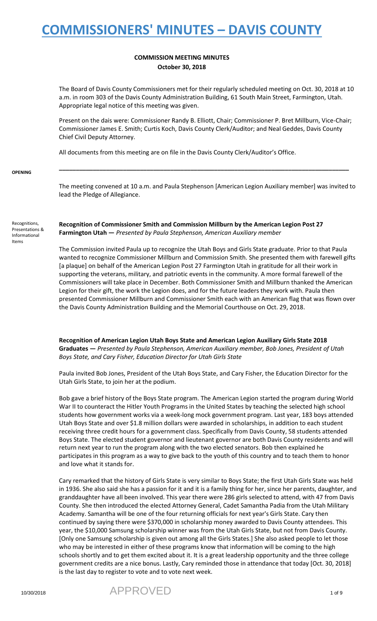### **COMMISSION MEETING MINUTES October 30, 2018**

The Board of Davis County Commissioners met for their regularly scheduled meeting on Oct. 30, 2018 at 10 a.m. in room 303 of the Davis County Administration Building, 61 South Main Street, Farmington, Utah. Appropriate legal notice of this meeting was given.

Present on the dais were: Commissioner Randy B. Elliott, Chair; Commissioner P. Bret Millburn, Vice-Chair; Commissioner James E. Smith; Curtis Koch, Davis County Clerk/Auditor; and Neal Geddes, Davis County Chief Civil Deputy Attorney.

All documents from this meeting are on file in the Davis County Clerk/Auditor's Office.

**OPENING**

The meeting convened at 10 a.m. and Paula Stephenson [American Legion Auxiliary member] was invited to lead the Pledge of Allegiance.

**\_\_\_\_\_\_\_\_\_\_\_\_\_\_\_\_\_\_\_\_\_\_\_\_\_\_\_\_\_\_\_\_\_\_\_\_\_\_\_\_\_\_\_\_\_\_\_\_\_\_\_\_\_\_\_\_\_\_\_\_\_\_\_\_\_\_\_\_\_\_\_\_\_\_\_\_\_\_\_\_\_\_\_\_\_\_**

Recognitions, Presentations & Informational Items

**Recognition of Commissioner Smith and Commission Millburn by the American Legion Post 27 Farmington Utah —** *Presented by Paula Stephenson, American Auxiliary member*

The Commission invited Paula up to recognize the Utah Boys and Girls State graduate. Prior to that Paula wanted to recognize Commissioner Millburn and Commission Smith. She presented them with farewell gifts [a plaque] on behalf of the American Legion Post 27 Farmington Utah in gratitude for all their work in supporting the veterans, military, and patriotic events in the community. A more formal farewell of the Commissioners will take place in December. Both Commissioner Smith and Millburn thanked the American Legion for their gift, the work the Legion does, and for the future leaders they work with. Paula then presented Commissioner Millburn and Commissioner Smith each with an American flag that was flown over the Davis County Administration Building and the Memorial Courthouse on Oct. 29, 2018.

**Recognition of American Legion Utah Boys State and American Legion Auxiliary Girls State 2018 Graduates —** *Presented by Paula Stephenson, American Auxiliary member, Bob Jones, President of Utah Boys State, and Cary Fisher, Education Director for Utah Girls State*

Paula invited Bob Jones, President of the Utah Boys State, and Cary Fisher, the Education Director for the Utah Girls State, to join her at the podium.

Bob gave a brief history of the Boys State program. The American Legion started the program during World War II to counteract the Hitler Youth Programs in the United States by teaching the selected high school students how government works via a week-long mock government program. Last year, 183 boys attended Utah Boys State and over \$1.8 million dollars were awarded in scholarships, in addition to each student receiving three credit hours for a government class. Specifically from Davis County, 58 students attended Boys State. The elected student governor and lieutenant governor are both Davis County residents and will return next year to run the program along with the two elected senators. Bob then explained he participates in this program as a way to give back to the youth of this country and to teach them to honor and love what it stands for.

Cary remarked that the history of Girls State is very similar to Boys State; the first Utah Girls State was held in 1936. She also said she has a passion for it and it is a family thing for her, since her parents, daughter, and granddaughter have all been involved. This year there were 286 girls selected to attend, with 47 from Davis County. She then introduced the elected Attorney General, Cadet Samantha Padia from the Utah Military Academy. Samantha will be one of the four returning officials for next year's Girls State. Cary then continued by saying there were \$370,000 in scholarship money awarded to Davis County attendees. This year, the \$10,000 Samsung scholarship winner was from the Utah Girls State, but not from Davis County. [Only one Samsung scholarship is given out among all the Girls States.] She also asked people to let those who may be interested in either of these programs know that information will be coming to the high schools shortly and to get them excited about it. It is a great leadership opportunity and the three college government credits are a nice bonus. Lastly, Cary reminded those in attendance that today [Oct. 30, 2018] is the last day to register to vote and to vote next week.

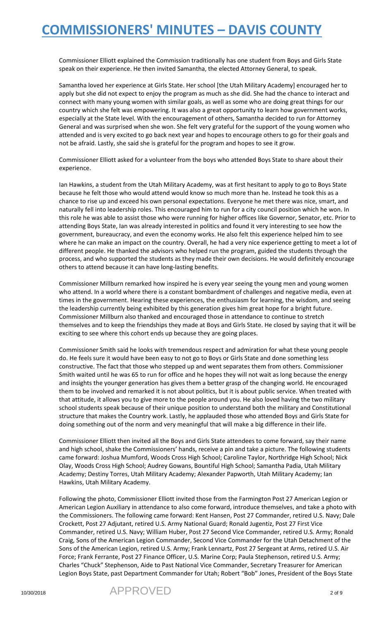Commissioner Elliott explained the Commission traditionally has one student from Boys and Girls State speak on their experience. He then invited Samantha, the elected Attorney General, to speak.

Samantha loved her experience at Girls State. Her school [the Utah Military Academy] encouraged her to apply but she did not expect to enjoy the program as much as she did. She had the chance to interact and connect with many young women with similar goals, as well as some who are doing great things for our country which she felt was empowering. It was also a great opportunity to learn how government works, especially at the State level. With the encouragement of others, Samantha decided to run for Attorney General and was surprised when she won. She felt very grateful for the support of the young women who attended and is very excited to go back next year and hopes to encourage others to go for their goals and not be afraid. Lastly, she said she is grateful for the program and hopes to see it grow.

Commissioner Elliott asked for a volunteer from the boys who attended Boys State to share about their experience.

Ian Hawkins, a student from the Utah Military Academy, was at first hesitant to apply to go to Boys State because he felt those who would attend would know so much more than he. Instead he took this as a chance to rise up and exceed his own personal expectations. Everyone he met there was nice, smart, and naturally fell into leadership roles. This encouraged him to run for a city council position which he won. In this role he was able to assist those who were running for higher offices like Governor, Senator, etc. Prior to attending Boys State, Ian was already interested in politics and found it very interesting to see how the government, bureaucracy, and even the economy works. He also felt this experience helped him to see where he can make an impact on the country. Overall, he had a very nice experience getting to meet a lot of different people. He thanked the advisors who helped run the program, guided the students through the process, and who supported the students as they made their own decisions. He would definitely encourage others to attend because it can have long-lasting benefits.

Commissioner Millburn remarked how inspired he is every year seeing the young men and young women who attend. In a world where there is a constant bombardment of challenges and negative media, even at times in the government. Hearing these experiences, the enthusiasm for learning, the wisdom, and seeing the leadership currently being exhibited by this generation gives him great hope for a bright future. Commissioner Millburn also thanked and encouraged those in attendance to continue to stretch themselves and to keep the friendships they made at Boys and Girls State. He closed by saying that it will be exciting to see where this cohort ends up because they are going places.

Commissioner Smith said he looks with tremendous respect and admiration for what these young people do. He feels sure it would have been easy to not go to Boys or Girls State and done something less constructive. The fact that those who stepped up and went separates them from others. Commissioner Smith waited until he was 65 to run for office and he hopes they will not wait as long because the energy and insights the younger generation has gives them a better grasp of the changing world. He encouraged them to be involved and remarked it is not about politics, but it is about public service. When treated with that attitude, it allows you to give more to the people around you. He also loved having the two military school students speak because of their unique position to understand both the military and Constitutional structure that makes the Country work. Lastly, he applauded those who attended Boys and Girls State for doing something out of the norm and very meaningful that will make a big difference in their life.

Commissioner Elliott then invited all the Boys and Girls State attendees to come forward, say their name and high school, shake the Commissioners' hands, receive a pin and take a picture. The following students came forward: Joshua Mumford, Woods Cross High School; Caroline Taylor, Northridge High School; Nick Olay, Woods Cross High School; Audrey Gowans, Bountiful High School; Samantha Padia, Utah Military Academy; Destiny Torres, Utah Military Academy; Alexander Papworth, Utah Military Academy; Ian Hawkins, Utah Military Academy.

Following the photo, Commissioner Elliott invited those from the Farmington Post 27 American Legion or American Legion Auxiliary in attendance to also come forward, introduce themselves, and take a photo with the Commissioners. The following came forward: Kent Hansen, Post 27 Commander, retired U.S. Navy; Dale Crockett, Post 27 Adjutant, retired U.S. Army National Guard; Ronald Jugentiz, Post 27 First Vice Commander, retired U.S. Navy; William Huber, Post 27 Second Vice Commander, retired U.S. Army; Ronald Craig, Sons of the American Legion Commander, Second Vice Commander for the Utah Detachment of the Sons of the American Legion, retired U.S. Army; Frank Lennartz, Post 27 Sergeant at Arms, retired U.S. Air Force; Frank Ferrante, Post 27 Finance Officer, U.S. Marine Corp; Paula Stephenson, retired U.S. Army; Charles "Chuck" Stephenson, Aide to Past National Vice Commander, Secretary Treasurer for American Legion Boys State, past Department Commander for Utah; Robert "Bob" Jones, President of the Boys State

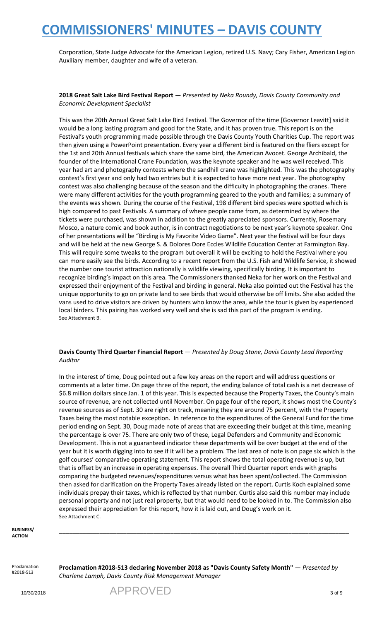Corporation, State Judge Advocate for the American Legion, retired U.S. Navy; Cary Fisher, American Legion Auxiliary member, daughter and wife of a veteran.

#### **2018 Great Salt Lake Bird Festival Report** — *Presented by Neka Roundy, Davis County Community and Economic Development Specialist*

This was the 20th Annual Great Salt Lake Bird Festival. The Governor of the time [Governor Leavitt] said it would be a long lasting program and good for the State, and it has proven true. This report is on the Festival's youth programming made possible through the Davis County Youth Charities Cup. The report was then given using a PowerPoint presentation. Every year a different bird is featured on the fliers except for the 1st and 20th Annual festivals which share the same bird, the American Avocet. George Archibald, the founder of the International Crane Foundation, was the keynote speaker and he was well received. This year had art and photography contests where the sandhill crane was highlighted. This was the photography contest's first year and only had two entries but it is expected to have more next year. The photography contest was also challenging because of the season and the difficulty in photographing the cranes. There were many different activities for the youth programming geared to the youth and families; a summary of the events was shown. During the course of the Festival, 198 different bird species were spotted which is high compared to past Festivals. A summary of where people came from, as determined by where the tickets were purchased, was shown in addition to the greatly appreciated sponsors. Currently, Rosemary Mosco, a nature comic and book author, is in contract negotiations to be next year's keynote speaker. One of her presentations will be "Birding is My Favorite Video Game". Next year the festival will be four days and will be held at the new George S. & Dolores Dore Eccles Wildlife Education Center at Farmington Bay. This will require some tweaks to the program but overall it will be exciting to hold the Festival where you can more easily see the birds. According to a recent report from the U.S. Fish and Wildlife Service, it showed the number one tourist attraction nationally is wildlife viewing, specifically birding. It is important to recognize birding's impact on this area. The Commissioners thanked Neka for her work on the Festival and expressed their enjoyment of the Festival and birding in general. Neka also pointed out the Festival has the unique opportunity to go on private land to see birds that would otherwise be off limits. She also added the vans used to drive visitors are driven by hunters who know the area, while the tour is given by experienced local birders. This pairing has worked very well and she is sad this part of the program is ending. See Attachment B.

#### **Davis County Third Quarter Financial Report** — *Presented by Doug Stone, Davis County Lead Reporting Auditor*

In the interest of time, Doug pointed out a few key areas on the report and will address questions or comments at a later time. On page three of the report, the ending balance of total cash is a net decrease of \$6.8 million dollars since Jan. 1 of this year. This is expected because the Property Taxes, the County's main source of revenue, are not collected until November. On page four of the report, it shows most the County's revenue sources as of Sept. 30 are right on track, meaning they are around 75 percent, with the Property Taxes being the most notable exception. In reference to the expenditures of the General Fund for the time period ending on Sept. 30, Doug made note of areas that are exceeding their budget at this time, meaning the percentage is over 75. There are only two of these, Legal Defenders and Community and Economic Development. This is not a guaranteed indicator these departments will be over budget at the end of the year but it is worth digging into to see if it will be a problem. The last area of note is on page six which is the golf courses' comparative operating statement. This report shows the total operating revenue is up, but that is offset by an increase in operating expenses. The overall Third Quarter report ends with graphs comparing the budgeted revenues/expenditures versus what has been spent/collected. The Commission then asked for clarification on the Property Taxes already listed on the report. Curtis Koch explained some individuals prepay their taxes, which is reflected by that number. Curtis also said this number may include personal property and not just real property, but that would need to be looked in to. The Commission also expressed their appreciation for this report, how it is laid out, and Doug's work on it. See Attachment C.

**BUSINESS/ ACTION**

Proclamation #2018-513

**Proclamation #2018-513 declaring November 2018 as "Davis County Safety Month"** — *Presented by Charlene Lamph, Davis County Risk Management Manager*

**\_\_\_\_\_\_\_\_\_\_\_\_\_\_\_\_\_\_\_\_\_\_\_\_\_\_\_\_\_\_\_\_\_\_\_\_\_\_\_\_\_\_\_\_\_\_\_\_\_\_\_\_\_\_\_\_\_\_\_\_\_\_\_\_\_\_\_\_\_\_\_\_\_\_\_\_\_\_\_\_\_\_\_\_\_\_**

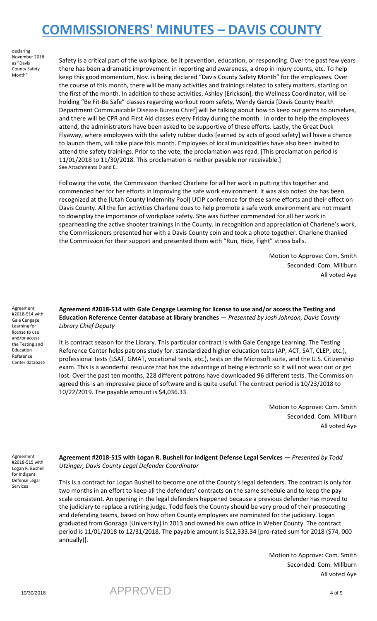declaring November 2018 as "Davis County Safety Month"

Safety is a critical part of the workplace, be it prevention, education, or responding. Over the past few years there has been a dramatic improvement in reporting and awareness, a drop in injury counts, etc. To help keep this good momentum, Nov. is being declared "Davis County Safety Month" for the employees. Over the course of this month, there will be many activities and trainings related to safety matters, starting on the first of the month. In addition to these activities, Ashley [Erickson], the Wellness Coordinator, will be holding "Be Fit-Be Safe" classes regarding workout room safety, Wendy Garcia [Davis County Health Department Communicable Disease Bureau Chief] will be talking about how to keep our germs to ourselves, and there will be CPR and First Aid classes every Friday during the month. In order to help the employees attend, the administrators have been asked to be supportive of these efforts. Lastly, the Great Duck Flyaway, where employees with the safety rubber ducks [earned by acts of good safety] will have a chance to launch them, will take place this month. Employees of local municipalities have also been invited to attend the safety trainings. Prior to the vote, the proclamation was read. [This proclamation period is 11/01/2018 to 11/30/2018. This proclamation is neither payable nor receivable.] See Attachments D and E.

Following the vote, the Commission thanked Charlene for all her work in putting this together and commended her for her efforts in improving the safe work environment. It was also noted she has been recognized at the [Utah County Indemnity Pool] UCIP conference for these same efforts and their effect on Davis County. All the fun activities Charlene does to help promote a safe work environment are not meant to downplay the importance of workplace safety. She was further commended for all her work in spearheading the active shooter trainings in the County. In recognition and appreciation of Charlene's work, the Commissioners presented her with a Davis County coin and took a photo together. Charlene thanked the Commission for their support and presented them with "Run, Hide, Fight" stress balls.

> Motion to Approve: Com. Smith Seconded: Com. Millburn All voted Aye

Agreement #2018-514 with Gale Cengage Learning for license to use and/or access the Testing and Education Reference Center database

**Agreement #2018-514 with Gale Cengage Learning for license to use and/or access the Testing and Education Reference Center database at library branches** — *Presented by Josh Johnson, Davis County Library Chief Deputy*

It is contract season for the Library. This particular contract is with Gale Cengage Learning. The Testing Reference Center helps patrons study for: standardized higher education tests (AP, ACT, SAT, CLEP, etc.), professional tests (LSAT, GMAT, vocational tests, etc.), tests on the Microsoft suite, and the U.S. Citizenship exam. This is a wonderful resource that has the advantage of being electronic so it will not wear out or get lost. Over the past ten months, 228 different patrons have downloaded 96 different tests. The Commission agreed this is an impressive piece of software and is quite useful. The contract period is 10/23/2018 to 10/22/2019. The payable amount is \$4,036.33.

> Motion to Approve: Com. Smith Seconded: Com. Millburn All voted Aye

Agreement #2018-515 with Logan R. Bushell for Indigent Defense Legal Services

**Agreement #2018-515 with Logan R. Bushell for Indigent Defense Legal Services** — *Presented by Todd Utzinger, Davis County Legal Defender Coordinator*

This is a contract for Logan Bushell to become one of the County's legal defenders. The contract is only for two months in an effort to keep all the defenders' contracts on the same schedule and to keep the pay scale consistent. An opening in the legal defenders happened because a previous defender has moved to the judiciary to replace a retiring judge. Todd feels the County should be very proud of their prosecuting and defending teams, based on how often County employees are nominated for the judiciary. Logan graduated from Gonzaga [University] in 2013 and owned his own office in Weber County. The contract period is 11/01/2018 to 12/31/2018. The payable amount is \$12,333.34 [pro-rated sum for 2018 (\$74, 000 annually)].

> Motion to Approve: Com. Smith Seconded: Com. Millburn All voted Aye



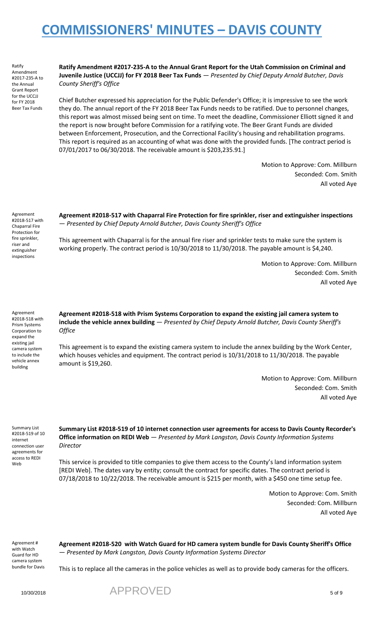Ratify Amendment #2017-235-A to the Annual Grant Report for the UCCJJ for FY 2018 Beer Tax Funds

**Ratify Amendment #2017-235-A to the Annual Grant Report for the Utah Commission on Criminal and Juvenile Justice (UCCJJ) for FY 2018 Beer Tax Funds** — *Presented by Chief Deputy Arnold Butcher, Davis County Sheriff's Office*

Chief Butcher expressed his appreciation for the Public Defender's Office; it is impressive to see the work they do. The annual report of the FY 2018 Beer Tax Funds needs to be ratified. Due to personnel changes, this report was almost missed being sent on time. To meet the deadline, Commissioner Elliott signed it and the report is now brought before Commission for a ratifying vote. The Beer Grant Funds are divided between Enforcement, Prosecution, and the Correctional Facility's housing and rehabilitation programs. This report is required as an accounting of what was done with the provided funds. [The contract period is 07/01/2017 to 06/30/2018. The receivable amount is \$203,235.91.]

> Motion to Approve: Com. Millburn Seconded: Com. Smith All voted Aye

Agreement #2018-517 with Chaparral Fire Protection for fire sprinkler, riser and extinguisher inspections

**Agreement #2018-517 with Chaparral Fire Protection for fire sprinkler, riser and extinguisher inspections** — *Presented by Chief Deputy Arnold Butcher, Davis County Sheriff's Office*

This agreement with Chaparral is for the annual fire riser and sprinkler tests to make sure the system is working properly. The contract period is 10/30/2018 to 11/30/2018. The payable amount is \$4,240.

> Motion to Approve: Com. Millburn Seconded: Com. Smith All voted Aye

Agreement #2018-518 with Prism Systems Corporation to expand the existing jail camera system to include the vehicle annex building

**Agreement #2018-518 with Prism Systems Corporation to expand the existing jail camera system to include the vehicle annex building** — *Presented by Chief Deputy Arnold Butcher, Davis County Sheriff's Office*

This agreement is to expand the existing camera system to include the annex building by the Work Center, which houses vehicles and equipment. The contract period is 10/31/2018 to 11/30/2018. The payable amount is \$19,260.

> Motion to Approve: Com. Millburn Seconded: Com. Smith All voted Aye

Summary List #2018-519 of 10 internet connection user agreements for access to REDI Web

**Summary List #2018-519 of 10 internet connection user agreements for access to Davis County Recorder's Office information on REDI Web** — *Presented by Mark Langston, Davis County Information Systems Director*

This service is provided to title companies to give them access to the County's land information system [REDI Web]. The dates vary by entity; consult the contract for specific dates. The contract period is 07/18/2018 to 10/22/2018. The receivable amount is \$215 per month, with a \$450 one time setup fee.

> Motion to Approve: Com. Smith Seconded: Com. Millburn All voted Aye

Agreement # with Watch Guard for HD camera system bundle for Davis **Agreement #2018-520 with Watch Guard for HD camera system bundle for Davis County Sheriff's Office** — *Presented by Mark Langston, Davis County Information Systems Director*

This is to replace all the cameras in the police vehicles as well as to provide body cameras for the officers.

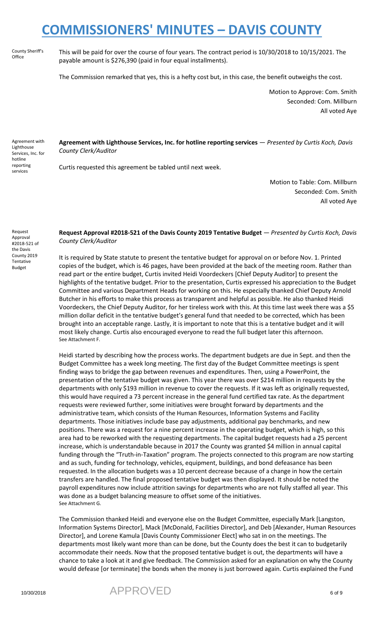County Sheriff's **Office** 

This will be paid for over the course of four years. The contract period is 10/30/2018 to 10/15/2021. The payable amount is \$276,390 (paid in four equal installments).

The Commission remarked that yes, this is a hefty cost but, in this case, the benefit outweighs the cost.

Motion to Approve: Com. Smith Seconded: Com. Millburn All voted Aye

Agreement with **Lighthouse** Services, Inc. for hotline reporting services

**Agreement with Lighthouse Services, Inc. for hotline reporting services** — *Presented by Curtis Koch, Davis County Clerk/Auditor*

Curtis requested this agreement be tabled until next week.

Motion to Table: Com. Millburn Seconded: Com. Smith All voted Aye

Request Approval #2018-521 of the Davis County 2019 **Tentative** Budget

**Request Approval #2018-521 of the Davis County 2019 Tentative Budget** — *Presented by Curtis Koch, Davis County Clerk/Auditor*

It is required by State statute to present the tentative budget for approval on or before Nov. 1. Printed copies of the budget, which is 46 pages, have been provided at the back of the meeting room. Rather than read part or the entire budget, Curtis invited Heidi Voordeckers [Chief Deputy Auditor] to present the highlights of the tentative budget. Prior to the presentation, Curtis expressed his appreciation to the Budget Committee and various Department Heads for working on this. He especially thanked Chief Deputy Arnold Butcher in his efforts to make this process as transparent and helpful as possible. He also thanked Heidi Voordeckers, the Chief Deputy Auditor, for her tireless work with this. At this time last week there was a \$5 million dollar deficit in the tentative budget's general fund that needed to be corrected, which has been brought into an acceptable range. Lastly, it is important to note that this is a tentative budget and it will most likely change. Curtis also encouraged everyone to read the full budget later this afternoon. See Attachment F.

Heidi started by describing how the process works. The department budgets are due in Sept. and then the Budget Committee has a week long meeting. The first day of the Budget Committee meetings is spent finding ways to bridge the gap between revenues and expenditures. Then, using a PowerPoint, the presentation of the tentative budget was given. This year there was over \$214 million in requests by the departments with only \$193 million in revenue to cover the requests. If it was left as originally requested, this would have required a 73 percent increase in the general fund certified tax rate. As the department requests were reviewed further, some initiatives were brought forward by departments and the administrative team, which consists of the Human Resources, Information Systems and Facility departments. Those initiatives include base pay adjustments, additional pay benchmarks, and new positions. There was a request for a nine percent increase in the operating budget, which is high, so this area had to be reworked with the requesting departments. The capital budget requests had a 25 percent increase, which is understandable because in 2017 the County was granted \$4 million in annual capital funding through the "Truth-in-Taxation" program. The projects connected to this program are now starting and as such, funding for technology, vehicles, equipment, buildings, and bond defeasance has been requested. In the allocation budgets was a 10 percent decrease because of a change in how the certain transfers are handled. The final proposed tentative budget was then displayed. It should be noted the payroll expenditures now include attrition savings for departments who are not fully staffed all year. This was done as a budget balancing measure to offset some of the initiatives. See Attachment G.

The Commission thanked Heidi and everyone else on the Budget Committee, especially Mark [Langston, Information Systems Director], Mack [McDonald, Facilities Director], and Deb [Alexander, Human Resources Director], and Lorene Kamula [Davis County Commissioner Elect] who sat in on the meetings. The departments most likely want more than can be done, but the County does the best it can to budgetarily accommodate their needs. Now that the proposed tentative budget is out, the departments will have a chance to take a look at it and give feedback. The Commission asked for an explanation on why the County would defease [or terminate] the bonds when the money is just borrowed again. Curtis explained the Fund

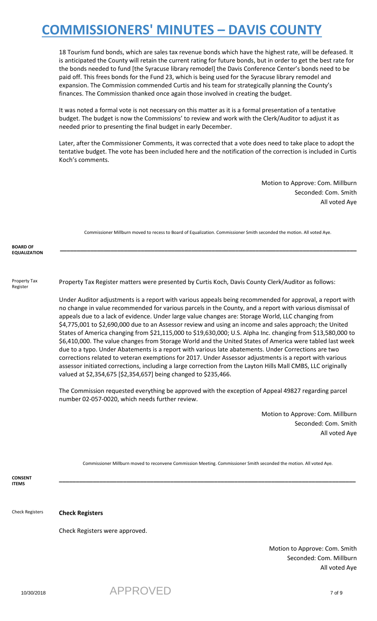18 Tourism fund bonds, which are sales tax revenue bonds which have the highest rate, will be defeased. It is anticipated the County will retain the current rating for future bonds, but in order to get the best rate for the bonds needed to fund [the Syracuse library remodel] the Davis Conference Center's bonds need to be paid off. This frees bonds for the Fund 23, which is being used for the Syracuse library remodel and expansion. The Commission commended Curtis and his team for strategically planning the County's finances. The Commission thanked once again those involved in creating the budget.

It was noted a formal vote is not necessary on this matter as it is a formal presentation of a tentative budget. The budget is now the Commissions' to review and work with the Clerk/Auditor to adjust it as needed prior to presenting the final budget in early December.

Later, after the Commissioner Comments, it was corrected that a vote does need to take place to adopt the tentative budget. The vote has been included here and the notification of the correction is included in Curtis Koch's comments.

> Motion to Approve: Com. Millburn Seconded: Com. Smith All voted Aye

|                                        | Commissioner Millburn moved to recess to Board of Equalization. Commissioner Smith seconded the motion. All voted Aye.                                                                                                                                                                                                                                                                                                                                                                                                                                                                                                                                                                                                                                                                                                                                                                                                                                                                                                                                                                                                                                                       |
|----------------------------------------|------------------------------------------------------------------------------------------------------------------------------------------------------------------------------------------------------------------------------------------------------------------------------------------------------------------------------------------------------------------------------------------------------------------------------------------------------------------------------------------------------------------------------------------------------------------------------------------------------------------------------------------------------------------------------------------------------------------------------------------------------------------------------------------------------------------------------------------------------------------------------------------------------------------------------------------------------------------------------------------------------------------------------------------------------------------------------------------------------------------------------------------------------------------------------|
| <b>BOARD OF</b><br><b>EQUALIZATION</b> |                                                                                                                                                                                                                                                                                                                                                                                                                                                                                                                                                                                                                                                                                                                                                                                                                                                                                                                                                                                                                                                                                                                                                                              |
| Property Tax<br>Register               | Property Tax Register matters were presented by Curtis Koch, Davis County Clerk/Auditor as follows:                                                                                                                                                                                                                                                                                                                                                                                                                                                                                                                                                                                                                                                                                                                                                                                                                                                                                                                                                                                                                                                                          |
|                                        | Under Auditor adjustments is a report with various appeals being recommended for approval, a report with<br>no change in value recommended for various parcels in the County, and a report with various dismissal of<br>appeals due to a lack of evidence. Under large value changes are: Storage World, LLC changing from<br>\$4,775,001 to \$2,690,000 due to an Assessor review and using an income and sales approach; the United<br>States of America changing from \$21,115,000 to \$19,630,000; U.S. Alpha Inc. changing from \$13,580,000 to<br>\$6,410,000. The value changes from Storage World and the United States of America were tabled last week<br>due to a typo. Under Abatements is a report with various late abatements. Under Corrections are two<br>corrections related to veteran exemptions for 2017. Under Assessor adjustments is a report with various<br>assessor initiated corrections, including a large correction from the Layton Hills Mall CMBS, LLC originally<br>valued at \$2,354,675 [\$2,354,657] being changed to \$235,466.<br>The Commission requested everything be approved with the exception of Appeal 49827 regarding parcel |
|                                        | number 02-057-0020, which needs further review.                                                                                                                                                                                                                                                                                                                                                                                                                                                                                                                                                                                                                                                                                                                                                                                                                                                                                                                                                                                                                                                                                                                              |
|                                        | Motion to Approve: Com. Millburn                                                                                                                                                                                                                                                                                                                                                                                                                                                                                                                                                                                                                                                                                                                                                                                                                                                                                                                                                                                                                                                                                                                                             |
|                                        | Seconded: Com. Smith<br>All voted Aye                                                                                                                                                                                                                                                                                                                                                                                                                                                                                                                                                                                                                                                                                                                                                                                                                                                                                                                                                                                                                                                                                                                                        |
| <b>CONSENT</b>                         | Commissioner Millburn moved to reconvene Commission Meeting. Commissioner Smith seconded the motion. All voted Aye.                                                                                                                                                                                                                                                                                                                                                                                                                                                                                                                                                                                                                                                                                                                                                                                                                                                                                                                                                                                                                                                          |
| <b>ITEMS</b>                           |                                                                                                                                                                                                                                                                                                                                                                                                                                                                                                                                                                                                                                                                                                                                                                                                                                                                                                                                                                                                                                                                                                                                                                              |
| <b>Check Registers</b>                 | <b>Check Registers</b>                                                                                                                                                                                                                                                                                                                                                                                                                                                                                                                                                                                                                                                                                                                                                                                                                                                                                                                                                                                                                                                                                                                                                       |

Check Registers were approved.

Motion to Approve: Com. Smith Seconded: Com. Millburn All voted Aye

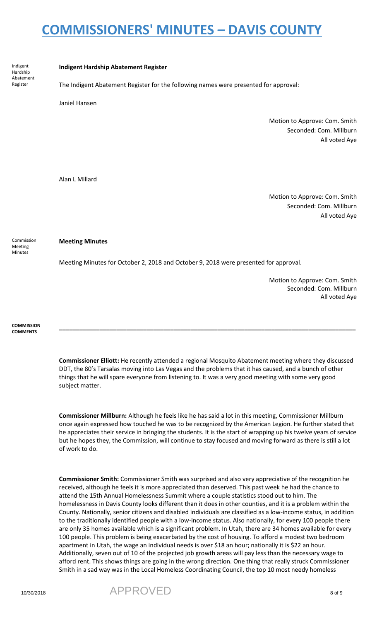Indigent Hardship Abatement Register

#### **Indigent Hardship Abatement Register**

The Indigent Abatement Register for the following names were presented for approval:

Janiel Hansen

Motion to Approve: Com. Smith Seconded: Com. Millburn All voted Aye

Alan L Millard

Motion to Approve: Com. Smith Seconded: Com. Millburn All voted Aye

#### **Meeting Minutes**

Meeting Minutes for October 2, 2018 and October 9, 2018 were presented for approval.

Motion to Approve: Com. Smith Seconded: Com. Millburn All voted Aye

**COMMISSION COMMENTS**

Commission Meeting Minutes

> **Commissioner Elliott:** He recently attended a regional Mosquito Abatement meeting where they discussed DDT, the 80's Tarsalas moving into Las Vegas and the problems that it has caused, and a bunch of other things that he will spare everyone from listening to. It was a very good meeting with some very good subject matter.

> **\_\_\_\_\_\_\_\_\_\_\_\_\_\_\_\_\_\_\_\_\_\_\_\_\_\_\_\_\_\_\_\_\_\_\_\_\_\_\_\_\_\_\_\_\_\_\_\_\_\_\_\_\_\_\_\_\_\_\_\_\_\_\_\_\_\_\_\_\_\_\_\_\_\_\_\_\_\_\_\_\_\_\_\_\_\_\_\_**

**Commissioner Millburn:** Although he feels like he has said a lot in this meeting, Commissioner Millburn once again expressed how touched he was to be recognized by the American Legion. He further stated that he appreciates their service in bringing the students. It is the start of wrapping up his twelve years of service but he hopes they, the Commission, will continue to stay focused and moving forward as there is still a lot of work to do.

**Commissioner Smith:** Commissioner Smith was surprised and also very appreciative of the recognition he received, although he feels it is more appreciated than deserved. This past week he had the chance to attend the 15th Annual Homelessness Summit where a couple statistics stood out to him. The homelessness in Davis County looks different than it does in other counties, and it is a problem within the County. Nationally, senior citizens and disabled individuals are classified as a low-income status, in addition to the traditionally identified people with a low-income status. Also nationally, for every 100 people there are only 35 homes available which is a significant problem. In Utah, there are 34 homes available for every 100 people. This problem is being exacerbated by the cost of housing. To afford a modest two bedroom apartment in Utah, the wage an individual needs is over \$18 an hour; nationally it is \$22 an hour. Additionally, seven out of 10 of the projected job growth areas will pay less than the necessary wage to afford rent. This shows things are going in the wrong direction. One thing that really struck Commissioner Smith in a sad way was in the Local Homeless Coordinating Council, the top 10 most needy homeless